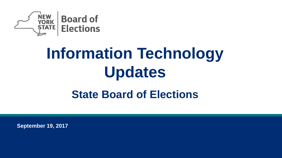

# **Information Technology Updates State Board of Elections**

**September 19, 2017**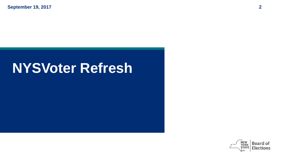**September 19, 2017 2**

## **NYSVoter Refresh**

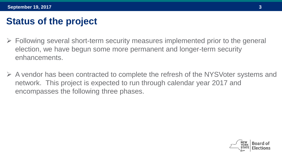## **Status of the project**

- $\triangleright$  Following several short-term security measures implemented prior to the general election, we have begun some more permanent and longer-term security enhancements.
- A vendor has been contracted to complete the refresh of the NYSVoter systems and network. This project is expected to run through calendar year 2017 and encompasses the following three phases.

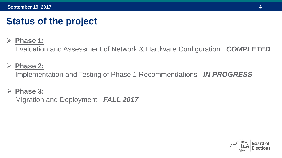## **Status of the project**

#### **Phase 1:**

Evaluation and Assessment of Network & Hardware Configuration. *COMPLETED*

#### **Phase 2:**

Implementation and Testing of Phase 1 Recommendations *IN PROGRESS*

#### **Phase 3:**

Migration and Deployment *FALL 2017*

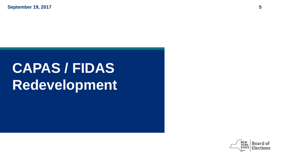**September 19, 2017 5**

# **CAPAS / FIDAS Redevelopment**

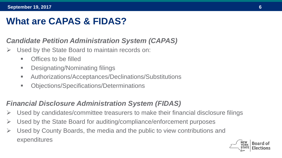## **What are CAPAS & FIDAS?**

#### *Candidate Petition Administration System (CAPAS)*

- Used by the State Board to maintain records on:
	- **•** Offices to be filled
	- **-** Designating/Nominating filings
	- Authorizations/Acceptances/Declinations/Substitutions
	- Objections/Specifications/Determinations

#### *Financial Disclosure Administration System (FIDAS)*

- $\triangleright$  Used by candidates/committee treasurers to make their financial disclosure filings
- $\triangleright$  Used by the State Board for auditing/compliance/enforcement purposes
- $\triangleright$  Used by County Boards, the media and the public to view contributions and expenditures

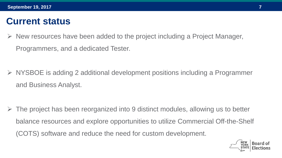### **Current status**

- $\triangleright$  New resources have been added to the project including a Project Manager, Programmers, and a dedicated Tester.
- NYSBOE is adding 2 additional development positions including a Programmer and Business Analyst.

 The project has been reorganized into 9 distinct modules, allowing us to better balance resources and explore opportunities to utilize Commercial Off-the-Shelf (COTS) software and reduce the need for custom development.

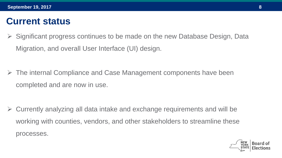### **Current status**

 Significant progress continues to be made on the new Database Design, Data Migration, and overall User Interface (UI) design.

 The internal Compliance and Case Management components have been completed and are now in use.

 Currently analyzing all data intake and exchange requirements and will be working with counties, vendors, and other stakeholders to streamline these processes.

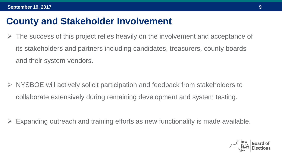### **County and Stakeholder Involvement**

 The success of this project relies heavily on the involvement and acceptance of its stakeholders and partners including candidates, treasurers, county boards and their system vendors.

 NYSBOE will actively solicit participation and feedback from stakeholders to collaborate extensively during remaining development and system testing.

Expanding outreach and training efforts as new functionality is made available.